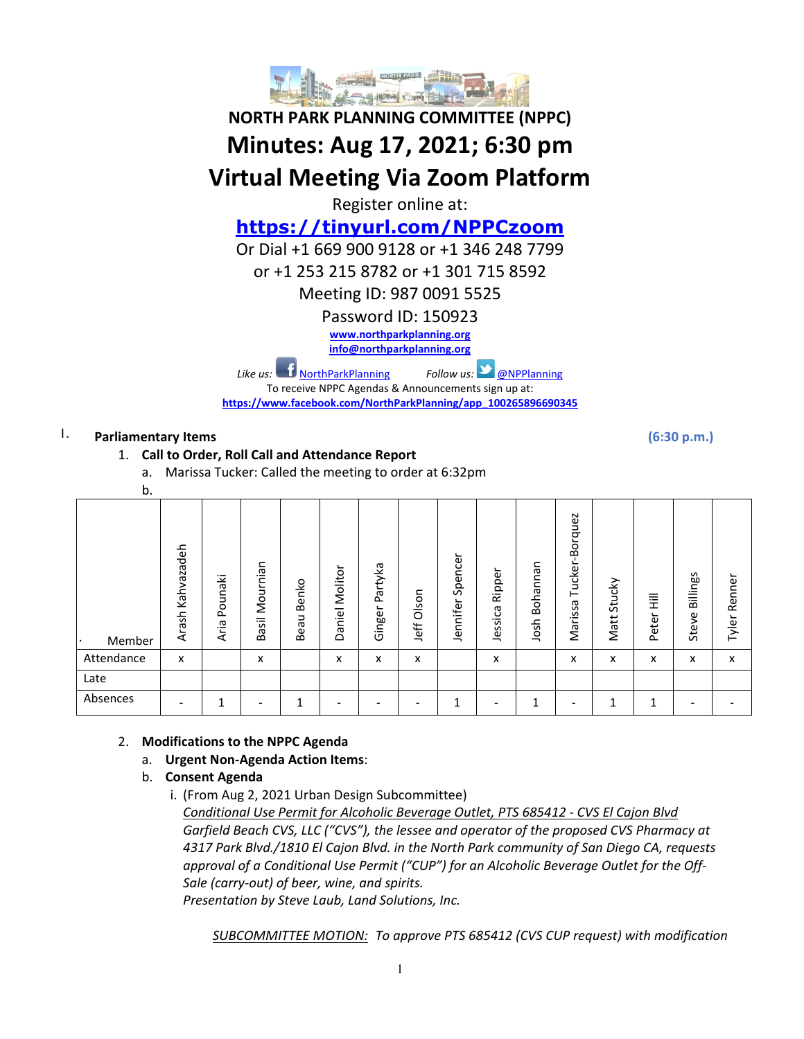

# **NORTH PARK PLANNING COMMITTEE (NPPC) Minutes: Aug 17, 2021; 6:30 pm Virtual Meeting Via Zoom Platform**

Register online at:

# **<https://tinyurl.com/NPPCzoom>**

Or Dial +1 669 900 9128 or +1 346 248 7799

or +1 253 215 8782 or +1 301 715 8592

Meeting ID: 987 0091 5525

Password ID: 150923

**[www.northparkplanning.org](http://www.northparkplanning.org/)**

**[info@northparkplanning.org](mailto:info@northparkplanning.org)**

*Like us:* [NorthParkPlanning](http://www.facebook.com/NorthParkPlanning) *Follow us:* **OPPlanning** 

To receive NPPC Agendas & Announcements sign up at: **[https://www.facebook.com/NorthParkPlanning/app\\_100265896690345](https://www.facebook.com/NorthParkPlanning/app_100265896690345)**

# **I. Parliamentary Items**

# 1. **Call to Order, Roll Call and Attendance Report**

- a. Marissa Tucker: Called the meeting to order at 6:32pm
- 

| b.                  |                     |                 |                          |                   |                   |                   |               |                     |                   |                  |                                |                |            |                   |                 |
|---------------------|---------------------|-----------------|--------------------------|-------------------|-------------------|-------------------|---------------|---------------------|-------------------|------------------|--------------------------------|----------------|------------|-------------------|-----------------|
| Member<br>$\bullet$ | Kahvazadeh<br>Arash | Pounaki<br>Aria | Mournian<br>Basil        | Benko<br>⊃<br>Bea | Molitor<br>Daniel | Partyka<br>Ginger | Olson<br>Jeff | Spencer<br>Jennifer | Ripper<br>Jessica | Bohannan<br>Josh | -Borquez<br>Tucker-<br>Marissa | Stucky<br>Matt | 量<br>Peter | Billings<br>Steve | Renner<br>Tyler |
| Attendance          | x                   |                 | X                        |                   | x                 | x                 | x             |                     | x                 |                  | x                              | x              | x          | x                 | X               |
| Late                |                     |                 |                          |                   |                   |                   |               |                     |                   |                  |                                |                |            |                   |                 |
| Absences            |                     | 1               | $\overline{\phantom{a}}$ | ◢                 |                   |                   |               | 1                   |                   | л                | -                              | 1              | 1          | -                 |                 |

### 2. **Modifications to the NPPC Agenda**

- a. **Urgent Non-Agenda Action Items**:
- b. **Consent Agenda**
	- i. (From Aug 2, 2021 Urban Design Subcommittee) *Conditional Use Permit for Alcoholic Beverage Outlet, PTS 685412 - CVS El Cajon Blvd Garfield Beach CVS, LLC ("CVS"), the lessee and operator of the proposed CVS Pharmacy at 4317 Park Blvd./1810 El Cajon Blvd. in the North Park community of San Diego CA, requests approval of a Conditional Use Permit ("CUP") for an Alcoholic Beverage Outlet for the Off-Sale (carry-out) of beer, wine, and spirits.*

*Presentation by Steve Laub, Land Solutions, Inc.*

*SUBCOMMITTEE MOTION: To approve PTS 685412 (CVS CUP request) with modification*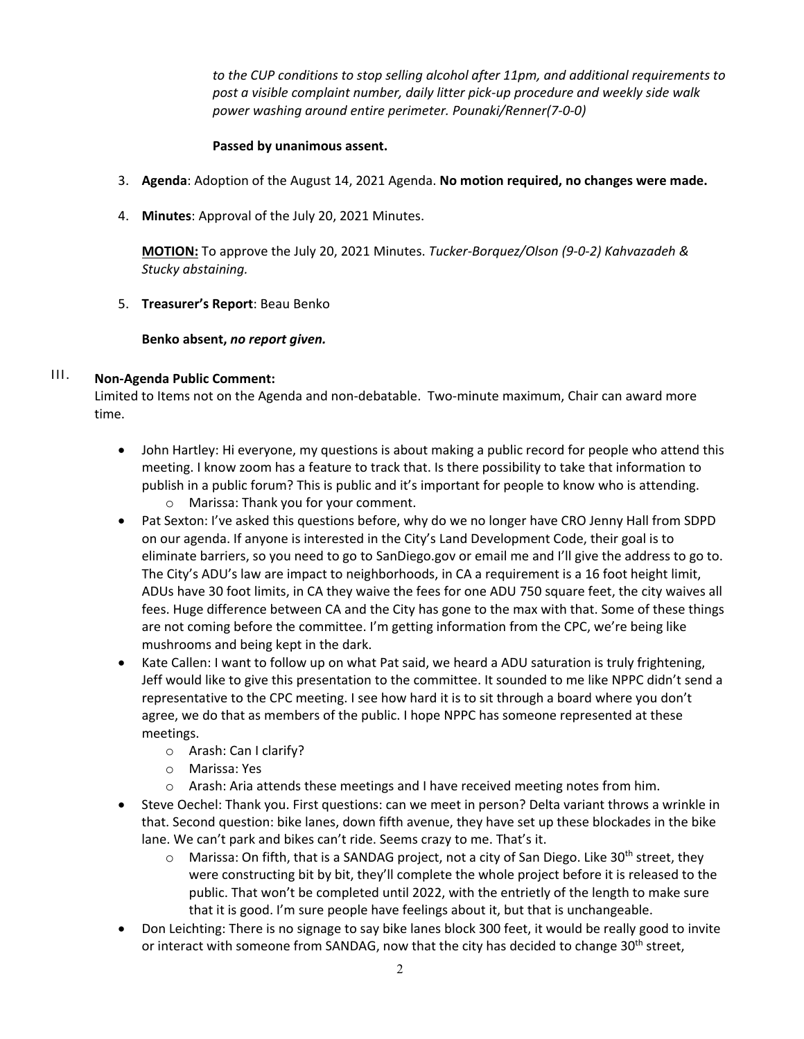*to the CUP conditions to stop selling alcohol after 11pm, and additional requirements to post a visible complaint number, daily litter pick-up procedure and weekly side walk power washing around entire perimeter. Pounaki/Renner(7-0-0)*

#### **Passed by unanimous assent.**

- 3. **Agenda**: Adoption of the August 14, 2021 Agenda. **No motion required, no changes were made.**
- 4. **Minutes**: Approval of the July 20, 2021 Minutes.

**MOTION:** To approve the July 20, 2021 Minutes. *Tucker-Borquez/Olson (9-0-2) Kahvazadeh & Stucky abstaining.*

#### 5. **Treasurer's Report**: Beau Benko

#### **Benko absent,** *no report given.*

# III. **Non-Agenda Public Comment:**

Limited to Items not on the Agenda and non-debatable. Two-minute maximum, Chair can award more time.

- John Hartley: Hi everyone, my questions is about making a public record for people who attend this meeting. I know zoom has a feature to track that. Is there possibility to take that information to publish in a public forum? This is public and it's important for people to know who is attending.
	- o Marissa: Thank you for your comment.
- Pat Sexton: I've asked this questions before, why do we no longer have CRO Jenny Hall from SDPD on our agenda. If anyone is interested in the City's Land Development Code, their goal is to eliminate barriers, so you need to go to SanDiego.gov or email me and I'll give the address to go to. The City's ADU's law are impact to neighborhoods, in CA a requirement is a 16 foot height limit, ADUs have 30 foot limits, in CA they waive the fees for one ADU 750 square feet, the city waives all fees. Huge difference between CA and the City has gone to the max with that. Some of these things are not coming before the committee. I'm getting information from the CPC, we're being like mushrooms and being kept in the dark.
- Kate Callen: I want to follow up on what Pat said, we heard a ADU saturation is truly frightening, Jeff would like to give this presentation to the committee. It sounded to me like NPPC didn't send a representative to the CPC meeting. I see how hard it is to sit through a board where you don't agree, we do that as members of the public. I hope NPPC has someone represented at these meetings.
	- o Arash: Can I clarify?
	- o Marissa: Yes
	- o Arash: Aria attends these meetings and I have received meeting notes from him.
- Steve Oechel: Thank you. First questions: can we meet in person? Delta variant throws a wrinkle in that. Second question: bike lanes, down fifth avenue, they have set up these blockades in the bike lane. We can't park and bikes can't ride. Seems crazy to me. That's it.
	- $\circ$  Marissa: On fifth, that is a SANDAG project, not a city of San Diego. Like 30<sup>th</sup> street, they were constructing bit by bit, they'll complete the whole project before it is released to the public. That won't be completed until 2022, with the entrietly of the length to make sure that it is good. I'm sure people have feelings about it, but that is unchangeable.
- Don Leichting: There is no signage to say bike lanes block 300 feet, it would be really good to invite or interact with someone from SANDAG, now that the city has decided to change  $30<sup>th</sup>$  street,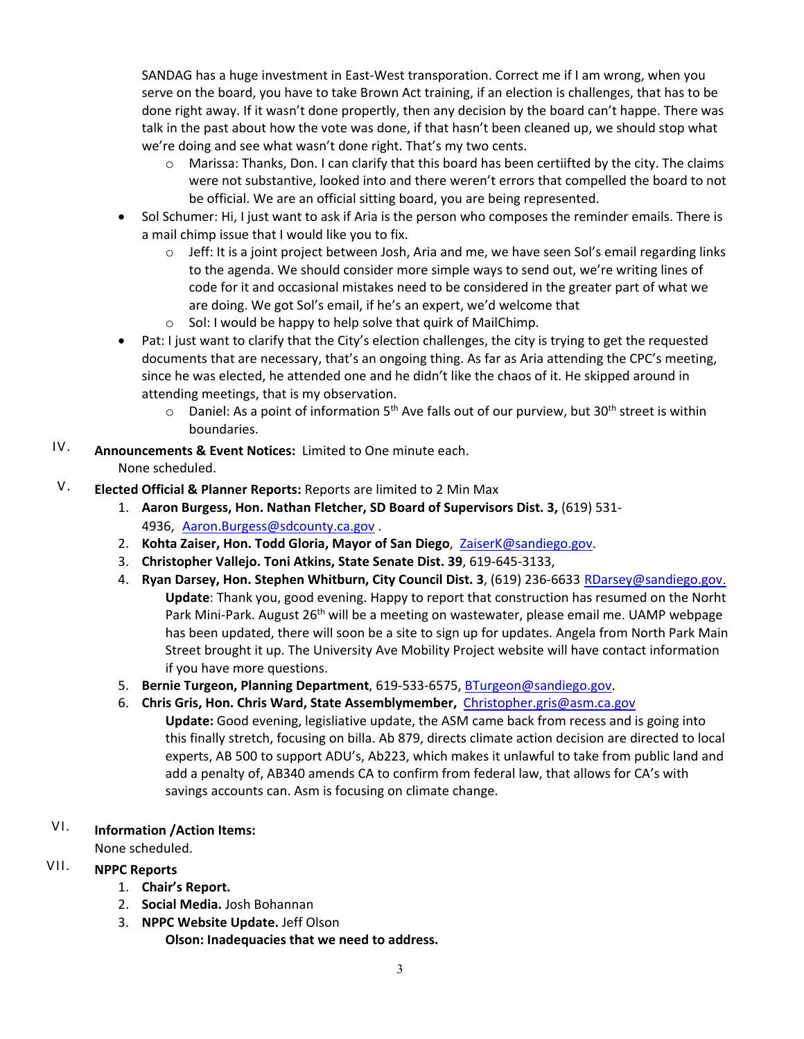SANDAG has a huge investment in East-West transporation. Correct me if I am wrong, when you serve on the board, you have to take Brown Act training, if an election is challenges, that has to be done right away. If it wasn't done propertly, then any decision by the board can't happe. There was talk in the past about how the vote was done, if that hasn't been cleaned up, we should stop what we're doing and see what wasn't done right. That's my two cents.

- o Marissa: Thanks, Don. I can clarify that this board has been certiifted by the city. The claims were not substantive, looked into and there weren't errors that compelled the board to not be official. We are an official sitting board, you are being represented.
- Sol Schumer: Hi, I just want to ask if Aria is the person who composes the reminder emails. There is a mail chimp issue that I would like you to fix.
	- $\circ$  Jeff: It is a joint project between Josh, Aria and me, we have seen Sol's email regarding links to the agenda. We should consider more simple ways to send out, we're writing lines of code for it and occasional mistakes need to be considered in the greater part of what we are doing. We got Sol's email, if he's an expert, we'd welcome that
	- o Sol: I would be happy to help solve that quirk of MailChimp.
- Pat: I just want to clarify that the City's election challenges, the city is trying to get the requested documents that are necessary, that's an ongoing thing. As far as Aria attending the CPC's meeting, since he was elected, he attended one and he didn't like the chaos of it. He skipped around in attending meetings, that is my observation.
	- $\circ$  Daniel: As a point of information 5<sup>th</sup> Ave falls out of our purview, but 30<sup>th</sup> street is within boundaries.
- IV. **Announcements & Event Notices:** Limited to One minute each. None scheduled.
- V. **Elected Official & Planner Reports:** Reports are limited to 2 Min Max
	- 1. **Aaron Burgess, Hon. Nathan Fletcher, SD Board of Supervisors Dist. 3,** (619) 531- 4936, [Aaron.Burgess@sdcounty.ca.gov](mailto:Aaron.Burgess@sdcounty.ca.gov) .
	- 2. **Kohta Zaiser, Hon. Todd Gloria, Mayor of San Diego**, ZaiserK@sandiego.gov.
	- 3. **Christopher Vallejo. Toni Atkins, State Senate Dist. 39**, 619-645-3133,
	- 4. **Ryan Darsey, Hon. Stephen Whitburn, City Council Dist. 3**, (619) 236-6633 [RDarsey@sandiego.gov](mailto:RDarsey@sandiego.gov). **Update**: Thank you, good evening. Happy to report that construction has resumed on the Norht Park Mini-Park. August 26<sup>th</sup> will be a meeting on wastewater, please email me. UAMP webpage has been updated, there will soon be a site to sign up for updates. Angela from North Park Main Street brought it up. The University Ave Mobility Project website will have contact information if you have more questions.
	- 5. **Bernie Turgeon, Planning Department**, 619-533-6575, [BTurgeon@sandiego.gov.](mailto:BTurgeon@sandiego.gov)
	- 6. **Chris Gris, Hon. Chris Ward, State Assemblymember,** [Christopher.gris@asm.ca.gov](mailto:Christopher.gris@asm.ca.gov)
		- **Update:** Good evening, legisliative update, the ASM came back from recess and is going into this finally stretch, focusing on billa. Ab 879, directs climate action decision are directed to local experts, AB 500 to support ADU's, Ab223, which makes it unlawful to take from public land and add a penalty of, AB340 amends CA to confirm from federal law, that allows for CA's with savings accounts can. Asm is focusing on climate change.
- VI. **Information /Action Items:**

None scheduled.

# VII. **NPPC Reports**

- 1. **Chair's Report.**
- 2. **Social Media.** Josh Bohannan
- 3. **NPPC Website Update.** Jeff Olson

**Olson: Inadequacies that we need to address.**